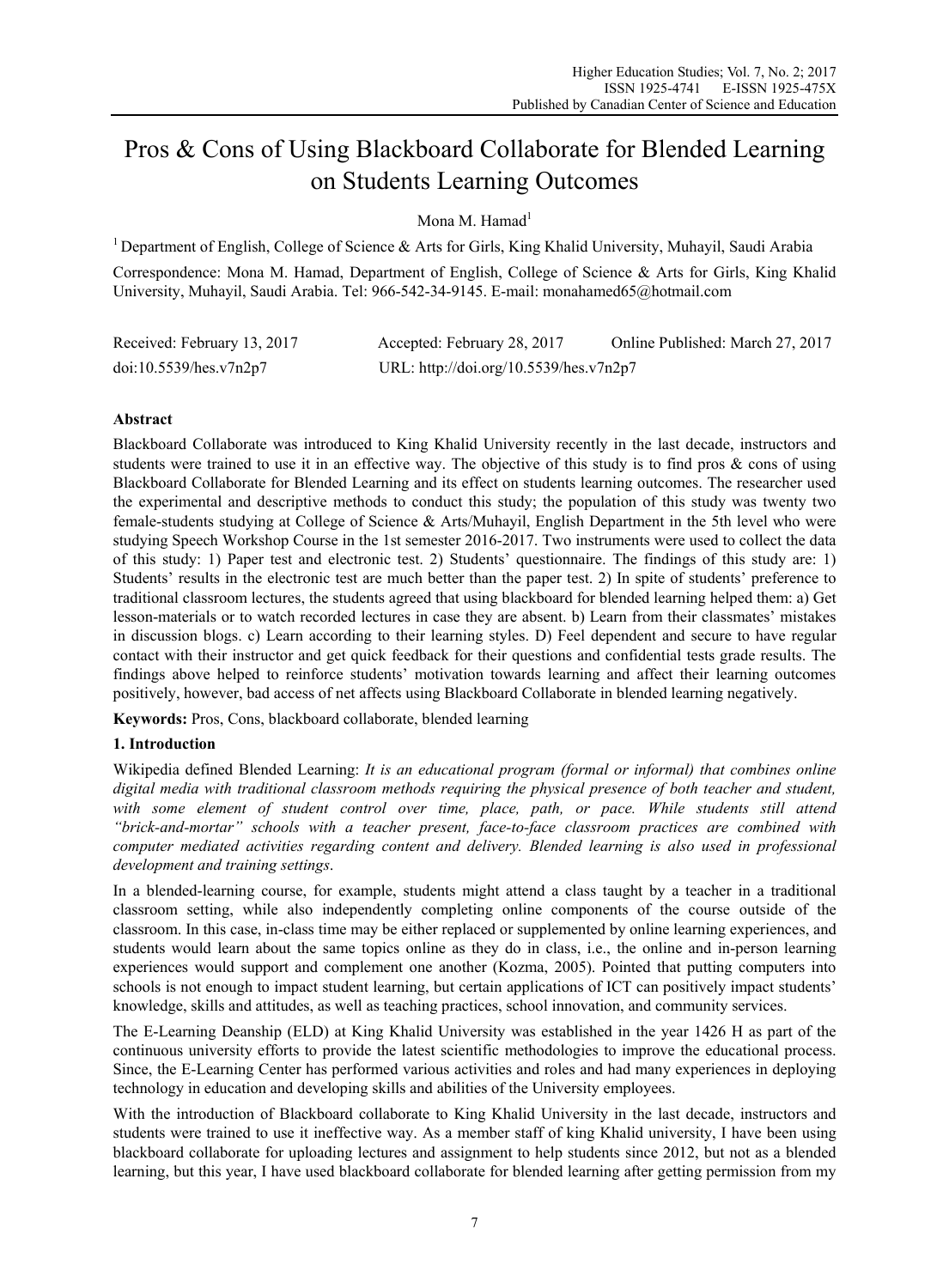# Pros & Cons of Using Blackboard Collaborate for Blended Learning on Students Learning Outcomes

Mona M. Hamad $<sup>1</sup>$ </sup>

<sup>1</sup> Department of English, College of Science & Arts for Girls, King Khalid University, Muhayil, Saudi Arabia

Correspondence: Mona M. Hamad, Department of English, College of Science & Arts for Girls, King Khalid University, Muhayil, Saudi Arabia. Tel: 966-542-34-9145. E-mail: monahamed65@hotmail.com

| Received: February 13, 2017 | Accepted: February 28, 2017            | Online Published: March 27, 2017 |
|-----------------------------|----------------------------------------|----------------------------------|
| doi: $10.5539$ /hes.v7n2p7  | URL: http://doi.org/10.5539/hes.v7n2p7 |                                  |

# **Abstract**

Blackboard Collaborate was introduced to King Khalid University recently in the last decade, instructors and students were trained to use it in an effective way. The objective of this study is to find pros & cons of using Blackboard Collaborate for Blended Learning and its effect on students learning outcomes. The researcher used the experimental and descriptive methods to conduct this study; the population of this study was twenty two female-students studying at College of Science & Arts/Muhayil, English Department in the 5th level who were studying Speech Workshop Course in the 1st semester 2016-2017. Two instruments were used to collect the data of this study: 1) Paper test and electronic test. 2) Students' questionnaire. The findings of this study are: 1) Students' results in the electronic test are much better than the paper test. 2) In spite of students' preference to traditional classroom lectures, the students agreed that using blackboard for blended learning helped them: a) Get lesson-materials or to watch recorded lectures in case they are absent. b) Learn from their classmates' mistakes in discussion blogs. c) Learn according to their learning styles. D) Feel dependent and secure to have regular contact with their instructor and get quick feedback for their questions and confidential tests grade results. The findings above helped to reinforce students' motivation towards learning and affect their learning outcomes positively, however, bad access of net affects using Blackboard Collaborate in blended learning negatively.

**Keywords:** Pros, Cons, blackboard collaborate, blended learning

# **1. Introduction**

Wikipedia defined Blended Learning: *It is an educational program (formal or informal) that combines online digital media with traditional classroom methods requiring the physical presence of both teacher and student,*  with some element of student control over time, place, path, or pace. While students still attend *"brick-and-mortar" schools with a teacher present, face-to-face classroom practices are combined with computer mediated activities regarding content and delivery. Blended learning is also used in professional development and training settings*.

In a blended-learning course, for example, students might attend a class taught by a teacher in a traditional classroom setting, while also independently completing online components of the course outside of the classroom. In this case, in-class time may be either replaced or supplemented by online learning experiences, and students would learn about the same topics online as they do in class, i.e., the online and in-person learning experiences would support and complement one another (Kozma, 2005). Pointed that putting computers into schools is not enough to impact student learning, but certain applications of ICT can positively impact students' knowledge, skills and attitudes, as well as teaching practices, school innovation, and community services.

The E-Learning Deanship (ELD) at King Khalid University was established in the year 1426 H as part of the continuous university efforts to provide the latest scientific methodologies to improve the educational process. Since, the E-Learning Center has performed various activities and roles and had many experiences in deploying technology in education and developing skills and abilities of the University employees.

With the introduction of Blackboard collaborate to King Khalid University in the last decade, instructors and students were trained to use it ineffective way. As a member staff of king Khalid university, I have been using blackboard collaborate for uploading lectures and assignment to help students since 2012, but not as a blended learning, but this year, I have used blackboard collaborate for blended learning after getting permission from my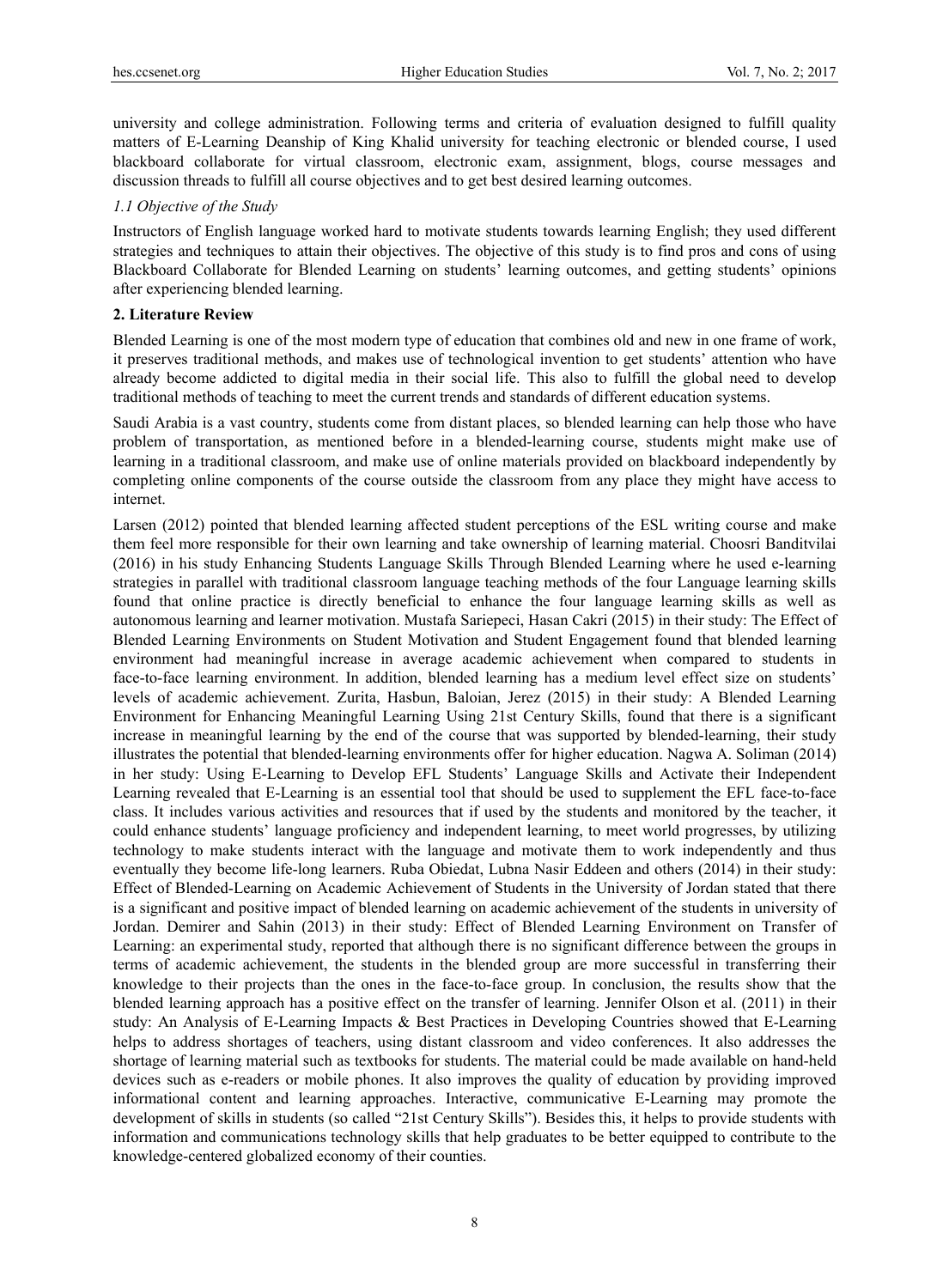university and college administration. Following terms and criteria of evaluation designed to fulfill quality matters of E-Learning Deanship of King Khalid university for teaching electronic or blended course, I used blackboard collaborate for virtual classroom, electronic exam, assignment, blogs, course messages and discussion threads to fulfill all course objectives and to get best desired learning outcomes.

#### *1.1 Objective of the Study*

Instructors of English language worked hard to motivate students towards learning English; they used different strategies and techniques to attain their objectives. The objective of this study is to find pros and cons of using Blackboard Collaborate for Blended Learning on students' learning outcomes, and getting students' opinions after experiencing blended learning.

#### **2. Literature Review**

Blended Learning is one of the most modern type of education that combines old and new in one frame of work, it preserves traditional methods, and makes use of technological invention to get students' attention who have already become addicted to digital media in their social life. This also to fulfill the global need to develop traditional methods of teaching to meet the current trends and standards of different education systems.

Saudi Arabia is a vast country, students come from distant places, so blended learning can help those who have problem of transportation, as mentioned before in a blended-learning course, students might make use of learning in a traditional classroom, and make use of online materials provided on blackboard independently by completing online components of the course outside the classroom from any place they might have access to internet.

Larsen (2012) pointed that blended learning affected student perceptions of the ESL writing course and make them feel more responsible for their own learning and take ownership of learning material. Choosri Banditvilai (2016) in his study Enhancing Students Language Skills Through Blended Learning where he used e-learning strategies in parallel with traditional classroom language teaching methods of the four Language learning skills found that online practice is directly beneficial to enhance the four language learning skills as well as autonomous learning and learner motivation. Mustafa Sariepeci, Hasan Cakri (2015) in their study: The Effect of Blended Learning Environments on Student Motivation and Student Engagement found that blended learning environment had meaningful increase in average academic achievement when compared to students in face-to-face learning environment. In addition, blended learning has a medium level effect size on students' levels of academic achievement. Zurita, Hasbun, Baloian, Jerez (2015) in their study: A Blended Learning Environment for Enhancing Meaningful Learning Using 21st Century Skills, found that there is a significant increase in meaningful learning by the end of the course that was supported by blended-learning, their study illustrates the potential that blended-learning environments offer for higher education. Nagwa A. Soliman (2014) in her study: Using E-Learning to Develop EFL Students' Language Skills and Activate their Independent Learning revealed that E-Learning is an essential tool that should be used to supplement the EFL face-to-face class. It includes various activities and resources that if used by the students and monitored by the teacher, it could enhance students' language proficiency and independent learning, to meet world progresses, by utilizing technology to make students interact with the language and motivate them to work independently and thus eventually they become life-long learners. Ruba Obiedat, Lubna Nasir Eddeen and others (2014) in their study: Effect of Blended-Learning on Academic Achievement of Students in the University of Jordan stated that there is a significant and positive impact of blended learning on academic achievement of the students in university of Jordan. Demirer and Sahin (2013) in their study: Effect of Blended Learning Environment on Transfer of Learning: an experimental study, reported that although there is no significant difference between the groups in terms of academic achievement, the students in the blended group are more successful in transferring their knowledge to their projects than the ones in the face-to-face group. In conclusion, the results show that the blended learning approach has a positive effect on the transfer of learning. Jennifer Olson et al. (2011) in their study: An Analysis of E-Learning Impacts & Best Practices in Developing Countries showed that E-Learning helps to address shortages of teachers, using distant classroom and video conferences. It also addresses the shortage of learning material such as textbooks for students. The material could be made available on hand-held devices such as e-readers or mobile phones. It also improves the quality of education by providing improved informational content and learning approaches. Interactive, communicative E-Learning may promote the development of skills in students (so called "21st Century Skills"). Besides this, it helps to provide students with information and communications technology skills that help graduates to be better equipped to contribute to the knowledge-centered globalized economy of their counties.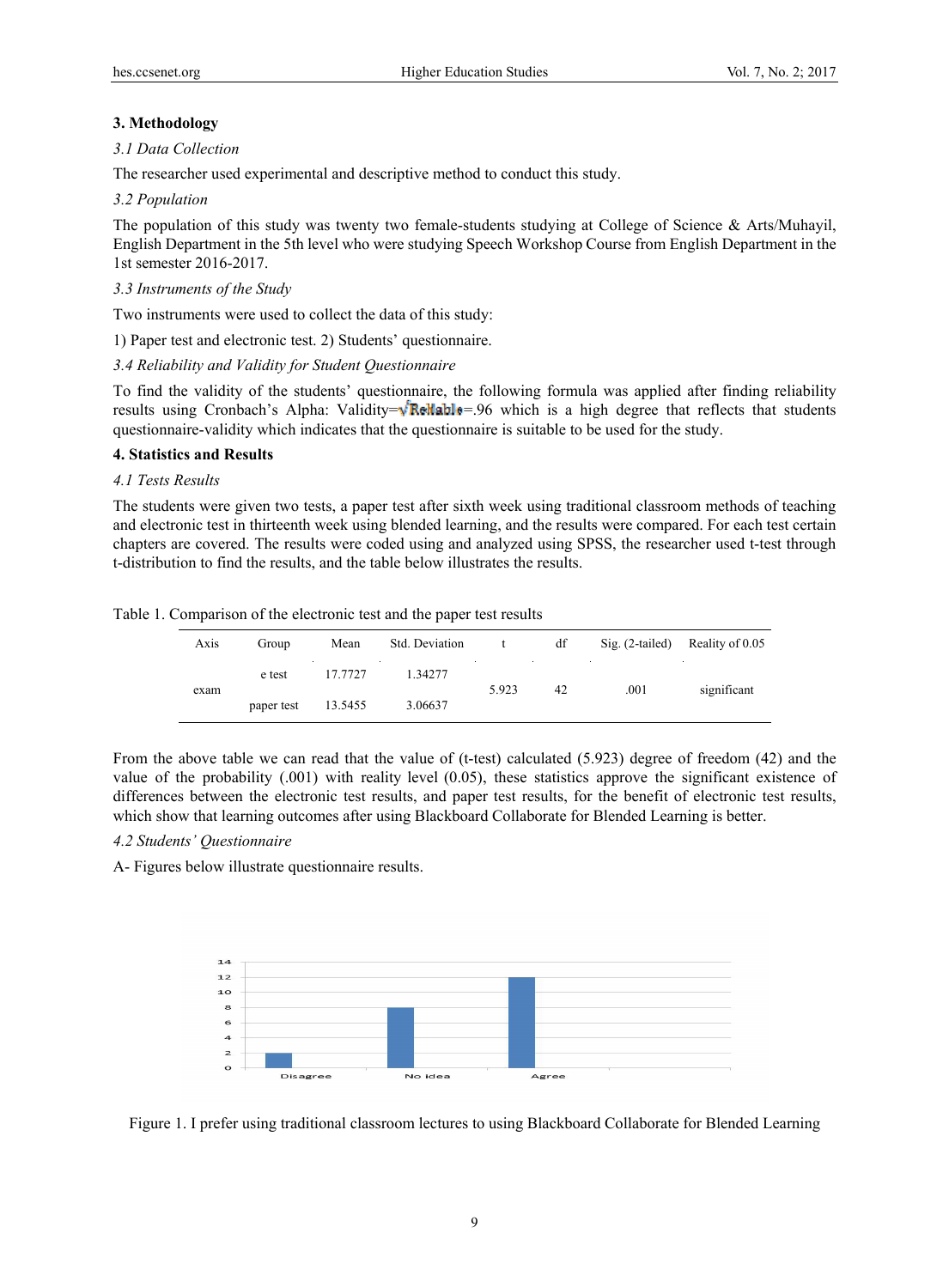## **3. Methodology**

#### *3.1 Data Collection*

The researcher used experimental and descriptive method to conduct this study.

#### *3.2 Population*

The population of this study was twenty two female-students studying at College of Science & Arts/Muhayil, English Department in the 5th level who were studying Speech Workshop Course from English Department in the 1st semester 2016-2017.

#### *3.3 Instruments of the Study*

Two instruments were used to collect the data of this study:

1) Paper test and electronic test. 2) Students' questionnaire.

*3.4 Reliability and Validity for Student Questionnaire* 

To find the validity of the students' questionnaire, the following formula was applied after finding reliability results using Cronbach's Alpha: Validity=  $\sqrt{\text{ReHable}}$  = 96 which is a high degree that reflects that students questionnaire-validity which indicates that the questionnaire is suitable to be used for the study.

#### **4. Statistics and Results**

#### *4.1 Tests Results*

The students were given two tests, a paper test after sixth week using traditional classroom methods of teaching and electronic test in thirteenth week using blended learning, and the results were compared. For each test certain chapters are covered. The results were coded using and analyzed using SPSS, the researcher used t-test through t-distribution to find the results, and the table below illustrates the results.

Table 1. Comparison of the electronic test and the paper test results

| Axis | Group      | Mean    | Std. Deviation |       | df | $Sig. (2-tailed)$ | Reality of 0.05 |
|------|------------|---------|----------------|-------|----|-------------------|-----------------|
| exam | e test     | 17.7727 | 1.34277        | 5.923 | 42 | .001              | significant     |
|      | paper test | 13.5455 | 3.06637        |       |    |                   |                 |

From the above table we can read that the value of (t-test) calculated (5.923) degree of freedom (42) and the value of the probability (.001) with reality level (0.05), these statistics approve the significant existence of differences between the electronic test results, and paper test results, for the benefit of electronic test results, which show that learning outcomes after using Blackboard Collaborate for Blended Learning is better.

## *4.2 Students' Questionnaire*

A- Figures below illustrate questionnaire results.



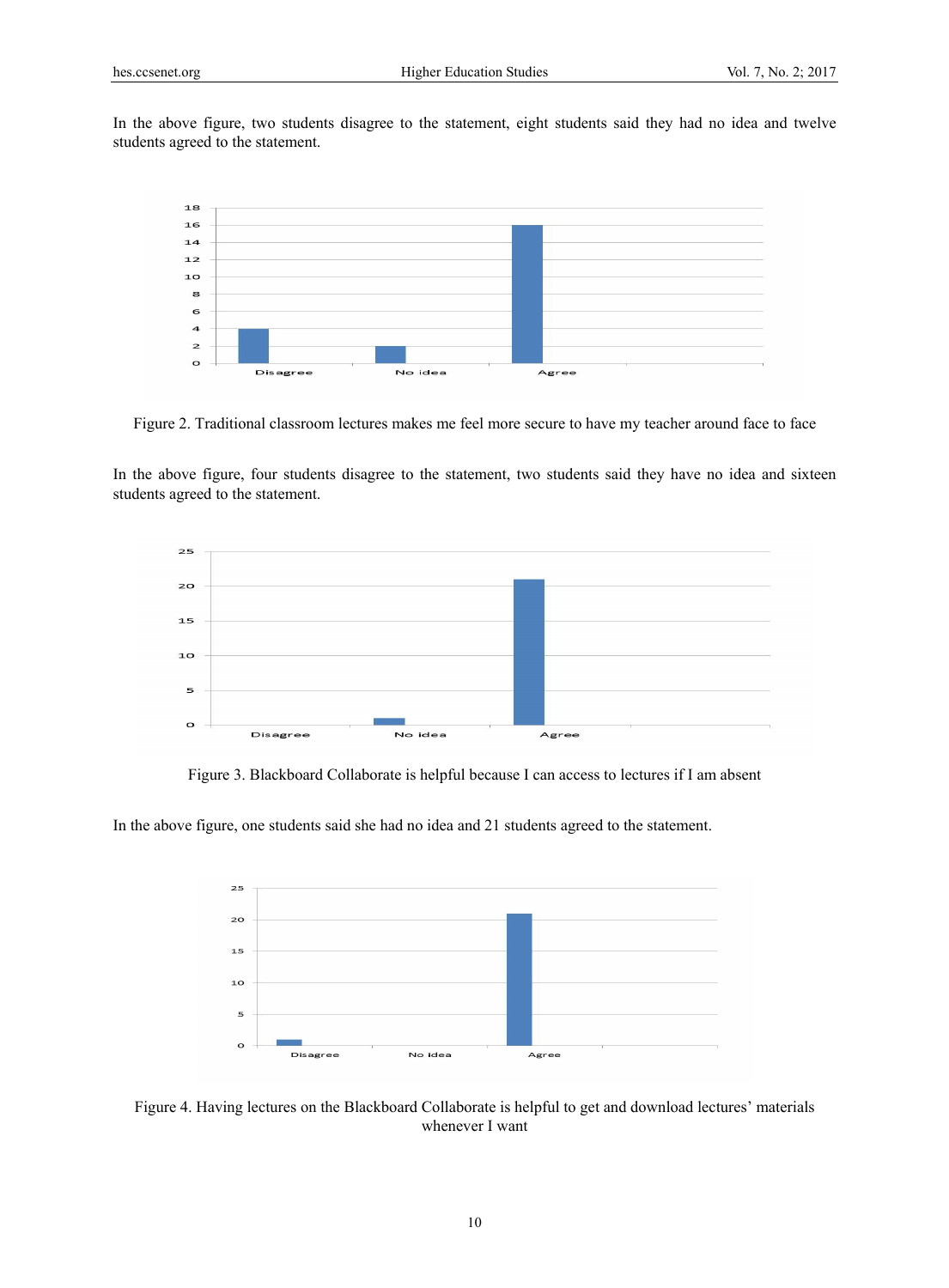In the above figure, two students disagree to the statement, eight students said they had no idea and twelve students agreed to the statement.



Figure 2. Traditional classroom lectures makes me feel more secure to have my teacher around face to face

In the above figure, four students disagree to the statement, two students said they have no idea and sixteen students agreed to the statement.



Figure 3. Blackboard Collaborate is helpful because I can access to lectures if I am absent

In the above figure, one students said she had no idea and 21 students agreed to the statement.



Figure 4. Having lectures on the Blackboard Collaborate is helpful to get and download lectures' materials whenever I want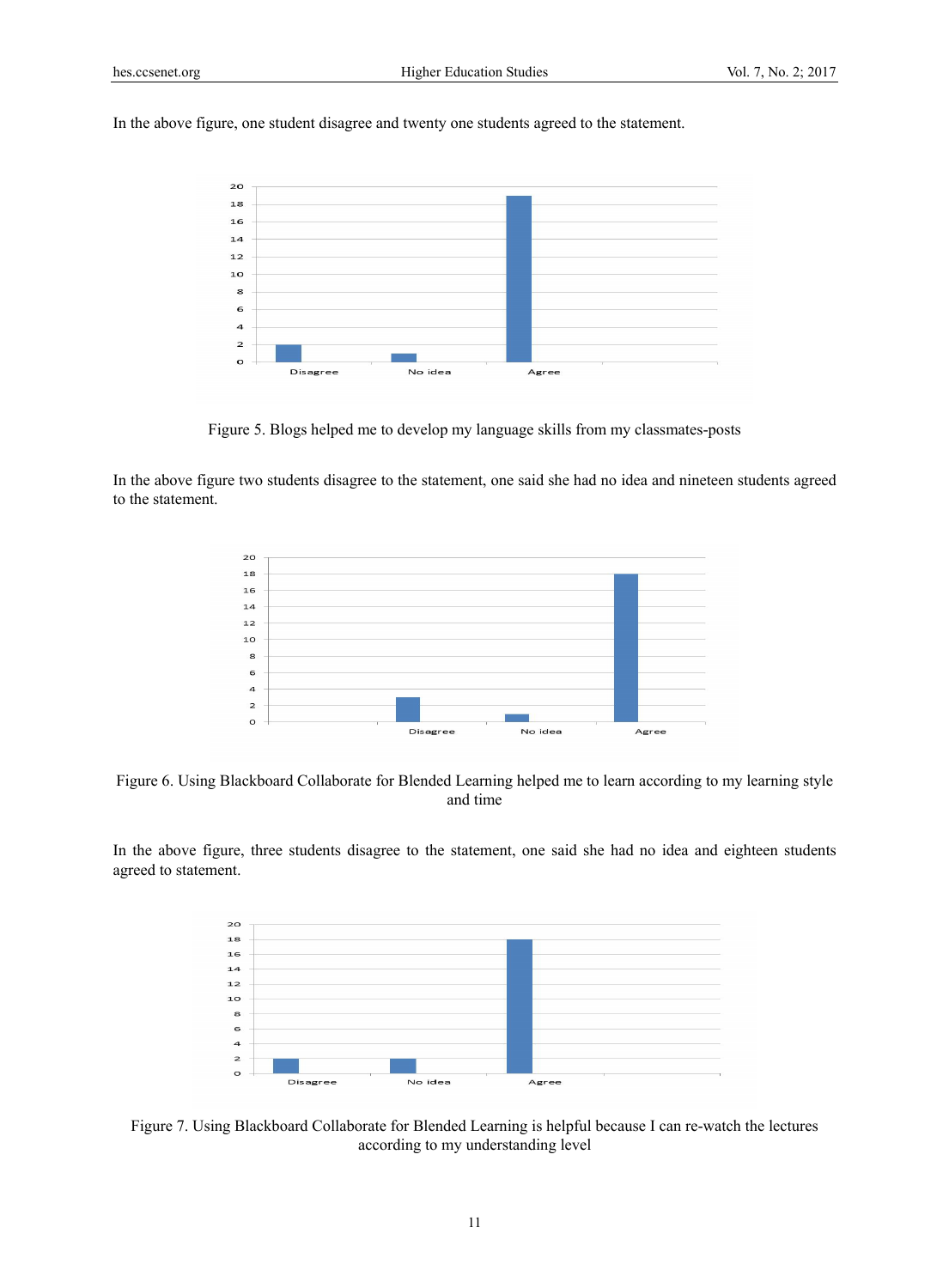In the above figure, one student disagree and twenty one students agreed to the statement.



Figure 5. Blogs helped me to develop my language skills from my classmates-posts

In the above figure two students disagree to the statement, one said she had no idea and nineteen students agreed to the statement.



Figure 6. Using Blackboard Collaborate for Blended Learning helped me to learn according to my learning style and time

In the above figure, three students disagree to the statement, one said she had no idea and eighteen students agreed to statement.



Figure 7. Using Blackboard Collaborate for Blended Learning is helpful because I can re-watch the lectures according to my understanding level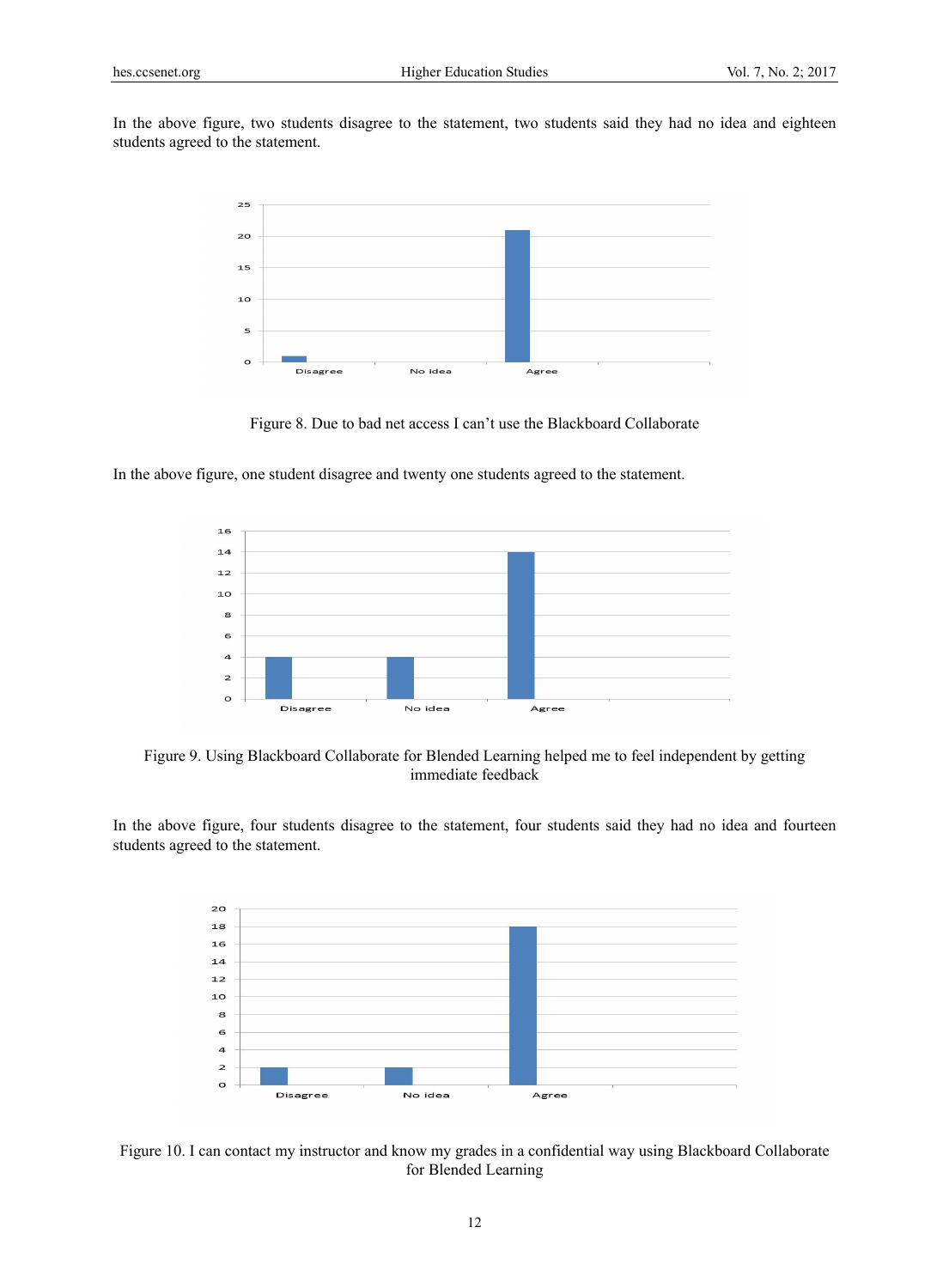In the above figure, two students disagree to the statement, two students said they had no idea and eighteen students agreed to the statement.



Figure 8. Due to bad net access I can't use the Blackboard Collaborate

In the above figure, one student disagree and twenty one students agreed to the statement.



Figure 9. Using Blackboard Collaborate for Blended Learning helped me to feel independent by getting immediate feedback

In the above figure, four students disagree to the statement, four students said they had no idea and fourteen students agreed to the statement.



Figure 10. I can contact my instructor and know my grades in a confidential way using Blackboard Collaborate for Blended Learning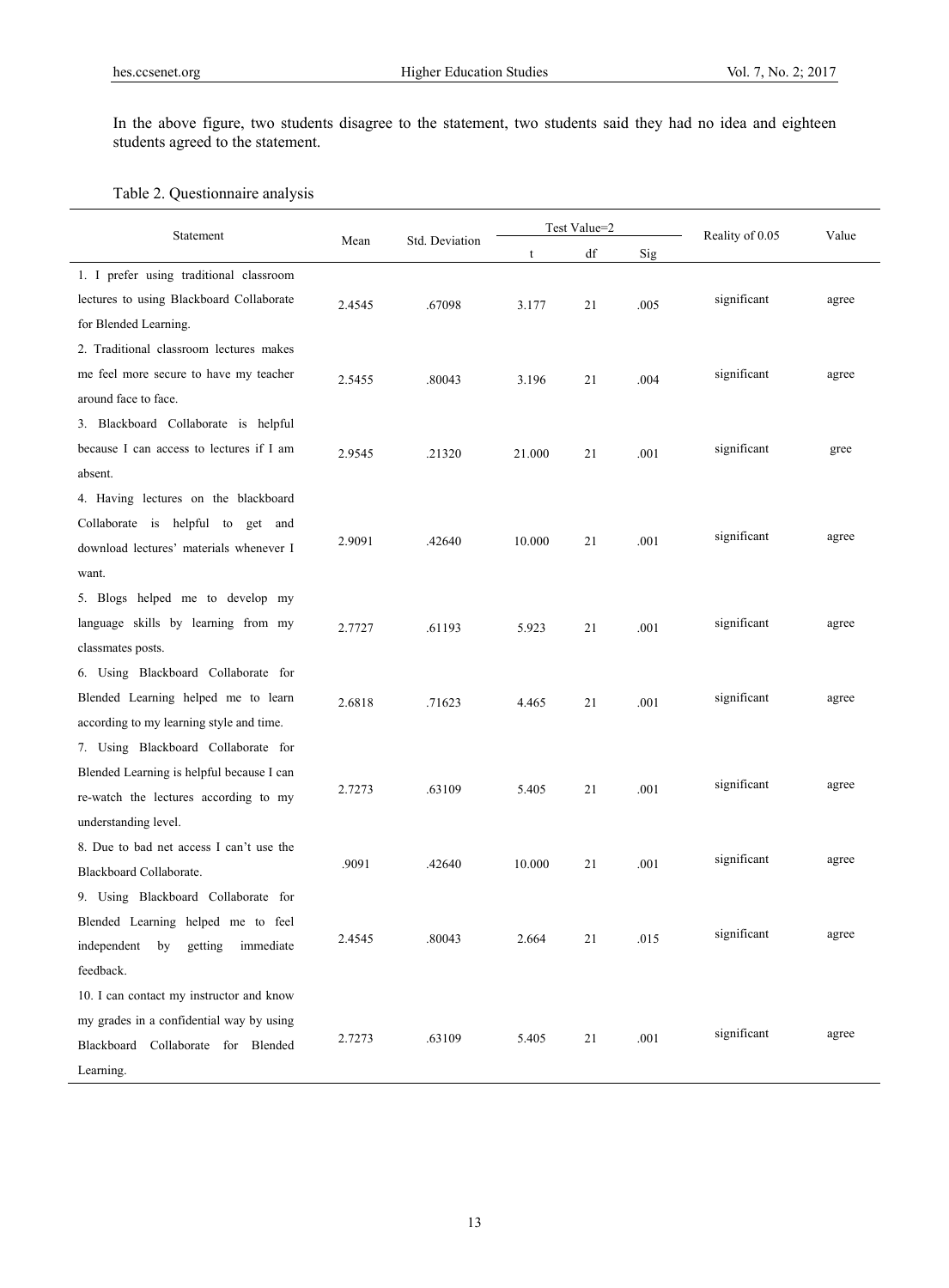In the above figure, two students disagree to the statement, two students said they had no idea and eighteen students agreed to the statement.

Table 2. Questionnaire analysis

| Statement                                 | Mean   | Std. Deviation | Test Value=2 |    |      | Reality of 0.05 | Value |
|-------------------------------------------|--------|----------------|--------------|----|------|-----------------|-------|
|                                           |        |                | t            | df | Sig  |                 |       |
| 1. I prefer using traditional classroom   |        |                |              |    |      |                 |       |
| lectures to using Blackboard Collaborate  | 2.4545 | .67098         | 3.177        | 21 | .005 | significant     | agree |
| for Blended Learning.                     |        |                |              |    |      |                 |       |
| 2. Traditional classroom lectures makes   |        |                |              |    |      |                 |       |
| me feel more secure to have my teacher    | 2.5455 | .80043         | 3.196        | 21 | .004 | significant     | agree |
| around face to face.                      |        |                |              |    |      |                 |       |
| 3. Blackboard Collaborate is helpful      |        |                |              |    |      |                 |       |
| because I can access to lectures if I am  | 2.9545 | .21320         | 21.000       | 21 | .001 | significant     | gree  |
| absent.                                   |        |                |              |    |      |                 |       |
| 4. Having lectures on the blackboard      |        |                |              |    |      |                 |       |
| Collaborate is helpful to get and         |        |                |              |    |      |                 |       |
| download lectures' materials whenever I   | 2.9091 | .42640         | 10.000       | 21 | .001 | significant     | agree |
| want.                                     |        |                |              |    |      |                 |       |
| 5. Blogs helped me to develop my          |        |                |              |    |      |                 |       |
| language skills by learning from my       | 2.7727 | .61193         | 5.923        | 21 | .001 | significant     | agree |
| classmates posts.                         |        |                |              |    |      |                 |       |
| 6. Using Blackboard Collaborate for       |        |                |              |    |      |                 |       |
| Blended Learning helped me to learn       | 2.6818 | .71623         | 4.465        | 21 | .001 | significant     | agree |
| according to my learning style and time.  |        |                |              |    |      |                 |       |
| 7. Using Blackboard Collaborate for       |        |                |              |    |      |                 |       |
| Blended Learning is helpful because I can |        |                |              |    |      |                 |       |
| re-watch the lectures according to my     | 2.7273 | .63109         | 5.405        | 21 | .001 | significant     | agree |
| understanding level.                      |        |                |              |    |      |                 |       |
| 8. Due to bad net access I can't use the  |        |                |              |    |      |                 |       |
| Blackboard Collaborate.                   | .9091  | .42640         | 10.000       | 21 | .001 | significant     | agree |
| 9. Using Blackboard Collaborate for       |        |                |              |    |      |                 |       |
| Blended Learning helped me to feel        |        |                |              |    |      |                 |       |
| independent<br>by<br>getting<br>immediate | 2.4545 | .80043         | 2.664        | 21 | .015 | significant     | agree |
| feedback.                                 |        |                |              |    |      |                 |       |
| 10. I can contact my instructor and know  |        |                |              |    |      |                 |       |
| my grades in a confidential way by using  |        |                |              |    |      |                 |       |
| Blackboard Collaborate for Blended        | 2.7273 | .63109         | 5.405        | 21 | .001 | significant     | agree |
| Learning.                                 |        |                |              |    |      |                 |       |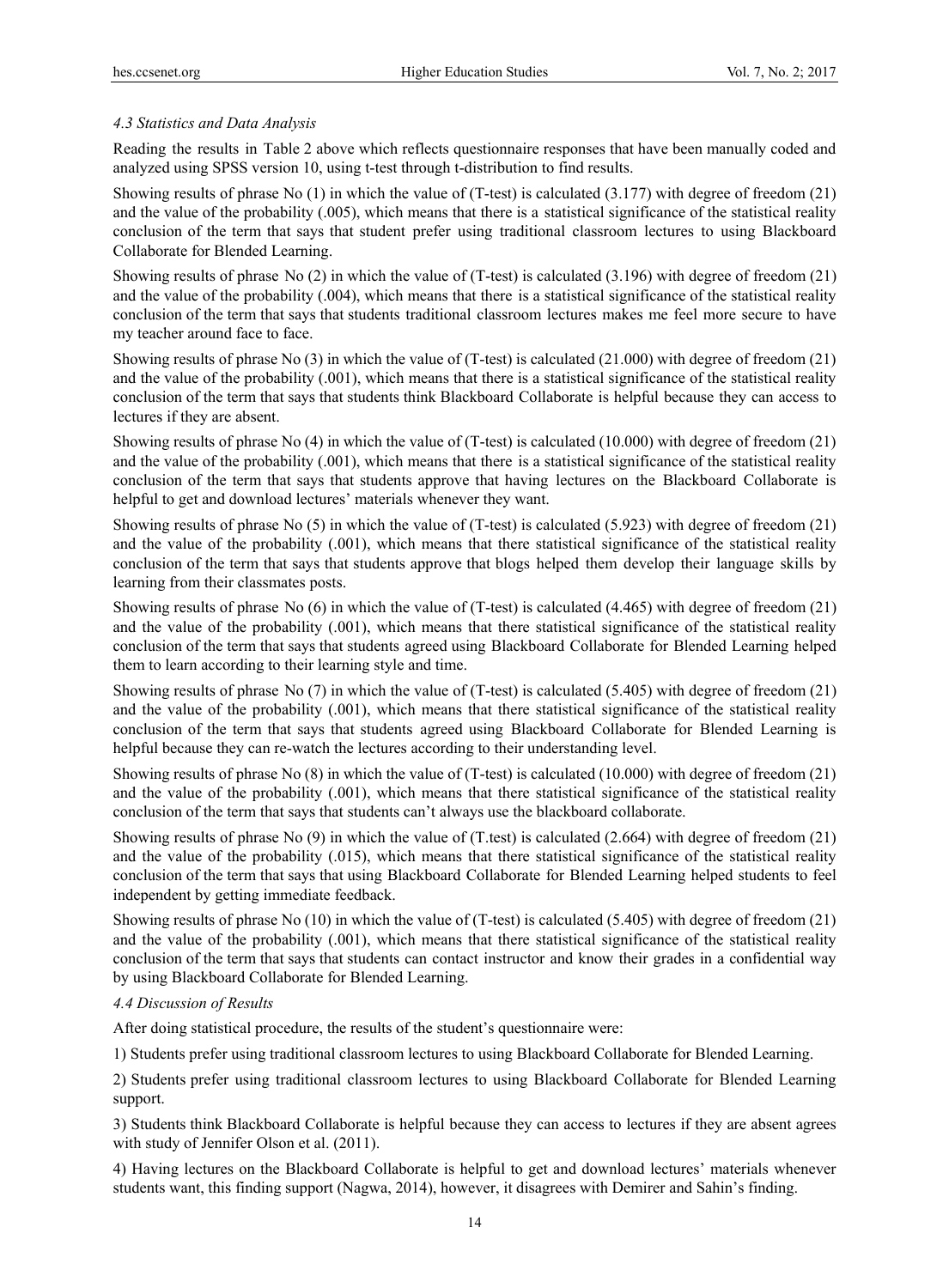# *4.3 Statistics and Data Analysis*

Reading the results in Table 2 above which reflects questionnaire responses that have been manually coded and analyzed using SPSS version 10, using t-test through t-distribution to find results.

Showing results of phrase No  $(1)$  in which the value of  $(T-test)$  is calculated  $(3.177)$  with degree of freedom  $(21)$ and the value of the probability (.005), which means that there is a statistical significance of the statistical reality conclusion of the term that says that student prefer using traditional classroom lectures to using Blackboard Collaborate for Blended Learning.

Showing results of phrase No (2) in which the value of (T-test) is calculated (3.196) with degree of freedom (21) and the value of the probability (.004), which means that there is a statistical significance of the statistical reality conclusion of the term that says that students traditional classroom lectures makes me feel more secure to have my teacher around face to face.

Showing results of phrase No (3) in which the value of (T-test) is calculated (21.000) with degree of freedom (21) and the value of the probability (.001), which means that there is a statistical significance of the statistical reality conclusion of the term that says that students think Blackboard Collaborate is helpful because they can access to lectures if they are absent.

Showing results of phrase No (4) in which the value of (T-test) is calculated (10.000) with degree of freedom (21) and the value of the probability (.001), which means that there is a statistical significance of the statistical reality conclusion of the term that says that students approve that having lectures on the Blackboard Collaborate is helpful to get and download lectures' materials whenever they want.

Showing results of phrase No (5) in which the value of (T-test) is calculated (5.923) with degree of freedom (21) and the value of the probability (.001), which means that there statistical significance of the statistical reality conclusion of the term that says that students approve that blogs helped them develop their language skills by learning from their classmates posts.

Showing results of phrase No (6) in which the value of (T-test) is calculated (4.465) with degree of freedom (21) and the value of the probability (.001), which means that there statistical significance of the statistical reality conclusion of the term that says that students agreed using Blackboard Collaborate for Blended Learning helped them to learn according to their learning style and time.

Showing results of phrase No (7) in which the value of (T-test) is calculated (5.405) with degree of freedom (21) and the value of the probability (.001), which means that there statistical significance of the statistical reality conclusion of the term that says that students agreed using Blackboard Collaborate for Blended Learning is helpful because they can re-watch the lectures according to their understanding level.

Showing results of phrase No (8) in which the value of (T-test) is calculated (10.000) with degree of freedom (21) and the value of the probability (.001), which means that there statistical significance of the statistical reality conclusion of the term that says that students can't always use the blackboard collaborate.

Showing results of phrase No (9) in which the value of  $(T.test)$  is calculated (2.664) with degree of freedom (21) and the value of the probability (.015), which means that there statistical significance of the statistical reality conclusion of the term that says that using Blackboard Collaborate for Blended Learning helped students to feel independent by getting immediate feedback.

Showing results of phrase No (10) in which the value of (T-test) is calculated (5.405) with degree of freedom (21) and the value of the probability (.001), which means that there statistical significance of the statistical reality conclusion of the term that says that students can contact instructor and know their grades in a confidential way by using Blackboard Collaborate for Blended Learning.

# *4.4 Discussion of Results*

After doing statistical procedure, the results of the student's questionnaire were:

1) Students prefer using traditional classroom lectures to using Blackboard Collaborate for Blended Learning.

2) Students prefer using traditional classroom lectures to using Blackboard Collaborate for Blended Learning support.

3) Students think Blackboard Collaborate is helpful because they can access to lectures if they are absent agrees with study of Jennifer Olson et al.  $(2011)$ .

4) Having lectures on the Blackboard Collaborate is helpful to get and download lectures' materials whenever students want, this finding support (Nagwa, 2014), however, it disagrees with Demirer and Sahin's finding.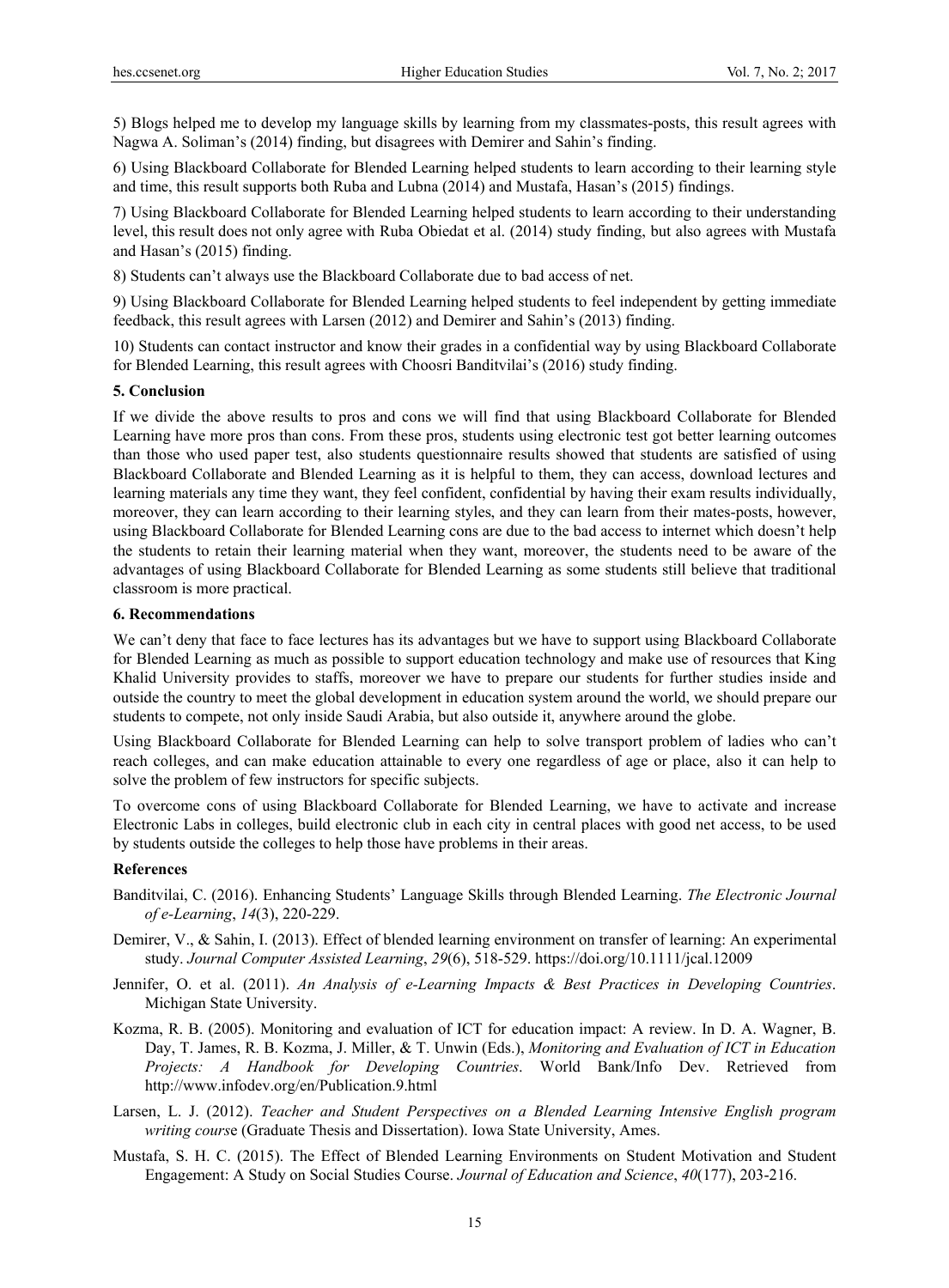5) Blogs helped me to develop my language skills by learning from my classmates-posts, this result agrees with Nagwa A. Soliman's (2014) finding, but disagrees with Demirer and Sahin's finding.

6) Using Blackboard Collaborate for Blended Learning helped students to learn according to their learning style and time, this result supports both Ruba and Lubna (2014) and Mustafa, Hasan's (2015) findings.

7) Using Blackboard Collaborate for Blended Learning helped students to learn according to their understanding level, this result does not only agree with Ruba Obiedat et al. (2014) study finding, but also agrees with Mustafa and Hasan's (2015) finding.

8) Students can't always use the Blackboard Collaborate due to bad access of net.

9) Using Blackboard Collaborate for Blended Learning helped students to feel independent by getting immediate feedback, this result agrees with Larsen (2012) and Demirer and Sahin's (2013) finding.

10) Students can contact instructor and know their grades in a confidential way by using Blackboard Collaborate for Blended Learning, this result agrees with Choosri Banditvilai's (2016) study finding.

#### **5. Conclusion**

If we divide the above results to pros and cons we will find that using Blackboard Collaborate for Blended Learning have more pros than cons. From these pros, students using electronic test got better learning outcomes than those who used paper test, also students questionnaire results showed that students are satisfied of using Blackboard Collaborate and Blended Learning as it is helpful to them, they can access, download lectures and learning materials any time they want, they feel confident, confidential by having their exam results individually, moreover, they can learn according to their learning styles, and they can learn from their mates-posts, however, using Blackboard Collaborate for Blended Learning cons are due to the bad access to internet which doesn't help the students to retain their learning material when they want, moreover, the students need to be aware of the advantages of using Blackboard Collaborate for Blended Learning as some students still believe that traditional classroom is more practical.

#### **6. Recommendations**

We can't deny that face to face lectures has its advantages but we have to support using Blackboard Collaborate for Blended Learning as much as possible to support education technology and make use of resources that King Khalid University provides to staffs, moreover we have to prepare our students for further studies inside and outside the country to meet the global development in education system around the world, we should prepare our students to compete, not only inside Saudi Arabia, but also outside it, anywhere around the globe.

Using Blackboard Collaborate for Blended Learning can help to solve transport problem of ladies who can't reach colleges, and can make education attainable to every one regardless of age or place, also it can help to solve the problem of few instructors for specific subjects.

To overcome cons of using Blackboard Collaborate for Blended Learning, we have to activate and increase Electronic Labs in colleges, build electronic club in each city in central places with good net access, to be used by students outside the colleges to help those have problems in their areas.

#### **References**

- Banditvilai, C. (2016). Enhancing Students' Language Skills through Blended Learning. *The Electronic Journal of e-Learning*, *14*(3), 220-229.
- Demirer, V., & Sahin, I. (2013). Effect of blended learning environment on transfer of learning: An experimental study. *Journal Computer Assisted Learning*, *29*(6), 518-529. https://doi.org/10.1111/jcal.12009
- Jennifer, O. et al. (2011). *An Analysis of e-Learning Impacts & Best Practices in Developing Countries*. Michigan State University.
- Kozma, R. B. (2005). Monitoring and evaluation of ICT for education impact: A review. In D. A. Wagner, B. Day, T. James, R. B. Kozma, J. Miller, & T. Unwin (Eds.), *Monitoring and Evaluation of ICT in Education Projects: A Handbook for Developing Countries*. World Bank/Info Dev. Retrieved from http://www.infodev.org/en/Publication.9.html
- Larsen, L. J. (2012). *Teacher and Student Perspectives on a Blended Learning Intensive English program writing cours*e (Graduate Thesis and Dissertation). Iowa State University, Ames.
- Mustafa, S. H. C. (2015). The Effect of Blended Learning Environments on Student Motivation and Student Engagement: A Study on Social Studies Course. *Journal of Education and Science*, *40*(177), 203-216.